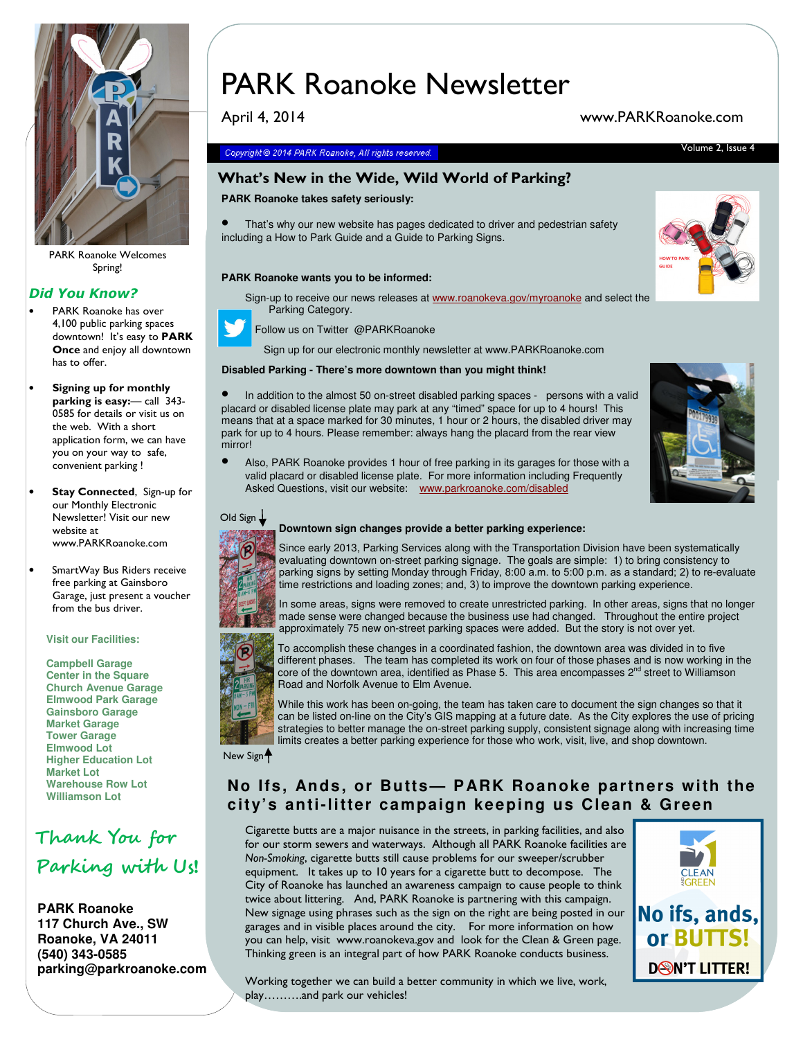

PARK Roanoke Welcomes Spring!

#### Did You Know?

- PARK Roanoke has over 4,100 public parking spaces downtown! It's easy to **PARK** Once and enjoy all downtown has to offer.
- Signing up for monthly parking is easy:- call 343-0585 for details or visit us on the web. With a short application form, we can have you on your way to safe, convenient parking !
- Stay Connected, Sign-up for our Monthly Electronic Newsletter! Visit our new website at www.PARKRoanoke.com
- SmartWay Bus Riders receive free parking at Gainsboro Garage, just present a voucher from the bus driver.

#### **Visit our Facilities:**

**Campbell Garage Center in the Square Church Avenue Garage Elmwood Park Garage Gainsboro Garage Market Garage Tower Garage Elmwood Lot Higher Education Lot Market Lot Warehouse Row Lot Williamson Lot**

# Thank You for Parking with Us!

**PARK Roanoke 117 Church Ave., SW Roanoke, VA 24011 (540) 343-0585 parking@parkroanoke.com** 

# PARK Roanoke Newsletter

April 4, 2014 www.PARKRoanoke.com

#### Copyright © 2014 PARK Roanoke, All rights reserved. The Contract of Contract Contract Contract Contract Contract Contract Contract Contract Contract Contract Contract Contract Contract Contract Contract Contract Contract C

### What's New in the Wide, Wild World of Parking?

#### **PARK Roanoke takes safety seriously:**

That's why our new website has pages dedicated to driver and pedestrian safety including a How to Park Guide and a Guide to Parking Signs.

#### **PARK Roanoke wants you to be informed:**

Sign-up to receive our news releases at www.roanokeva.gov/myroanoke and select the Parking Category.



Follow us on Twitter @PARKRoanoke

Sign up for our electronic monthly newsletter at www.PARKRoanoke.com

#### **Disabled Parking - There's more downtown than you might think!**

In addition to the almost 50 on-street disabled parking spaces - persons with a valid placard or disabled license plate may park at any "timed" space for up to 4 hours! This means that at a space marked for 30 minutes, 1 hour or 2 hours, the disabled driver may park for up to 4 hours. Please remember: always hang the placard from the rear view mirrorl



• Also, PARK Roanoke provides 1 hour of free parking in its garages for those with a valid placard or disabled license plate. For more information including Frequently Asked Questions, visit our website: www.parkroanoke.com/disabled



Old Sign  $\frac{1}{2}$ 

# **Downtown sign changes provide a better parking experience:**

Since early 2013, Parking Services along with the Transportation Division have been systematically evaluating downtown on-street parking signage. The goals are simple: 1) to bring consistency to parking signs by setting Monday through Friday, 8:00 a.m. to 5:00 p.m. as a standard; 2) to re-evaluate time restrictions and loading zones; and, 3) to improve the downtown parking experience.





To accomplish these changes in a coordinated fashion, the downtown area was divided in to five different phases. The team has completed its work on four of those phases and is now working in the core of the downtown area, identified as Phase 5. This area encompasses  $2<sup>nd</sup>$  street to Williamson Road and Norfolk Avenue to Elm Avenue.

While this work has been on-going, the team has taken care to document the sign changes so that it can be listed on-line on the City's GIS mapping at a future date. As the City explores the use of pricing strategies to better manage the on-street parking supply, consistent signage along with increasing time limits creates a better parking experience for those who work, visit, live, and shop downtown.

New Sign<sup>4</sup>

### **No Ifs, Ands, or Butts— PARK Roanoke partners with the city's anti-litter campaign keeping us Clean & Green**

Cigarette butts are a major nuisance in the streets, in parking facilities, and also for our storm sewers and waterways. Although all PARK Roanoke facilities are Non-Smoking, cigarette butts still cause problems for our sweeper/scrubber equipment. It takes up to 10 years for a cigarette butt to decompose. The City of Roanoke has launched an awareness campaign to cause people to think twice about littering. And, PARK Roanoke is partnering with this campaign. New signage using phrases such as the sign on the right are being posted in our garages and in visible places around the city. For more information on how you can help, visit www.roanokeva.gov and look for the Clean & Green page. Thinking green is an integral part of how PARK Roanoke conducts business.



Working together we can build a better community in which we live, work, play……….and park our vehicles!